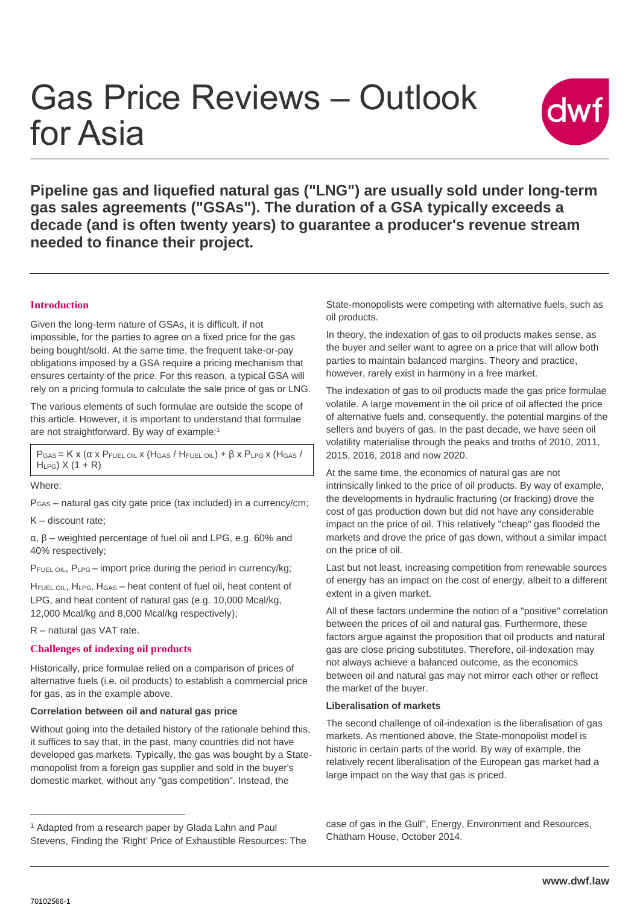# Gas Price Reviews – Outlook for Asia



**Pipeline gas and liquefied natural gas ("LNG") are usually sold under long-term gas sales agreements ("GSAs"). The duration of a GSA typically exceeds a decade (and is often twenty years) to guarantee a producer's revenue stream needed to finance their project.**

### **Introduction**

Given the long-term nature of GSAs, it is difficult, if not impossible, for the parties to agree on a fixed price for the gas being bought/sold. At the same time, the frequent take-or-pay obligations imposed by a GSA require a pricing mechanism that ensures certainty of the price. For this reason, a typical GSA will rely on a pricing formula to calculate the sale price of gas or LNG.

The various elements of such formulae are outside the scope of this article. However, it is important to understand that formulae are not straightforward. By way of example:<sup>1</sup>

 $P_{\text{GAS}} = K x (a x P_{\text{FUEL OIL}} x (H_{\text{GAS}} / H_{\text{FUEL OIL}}) + \beta x P_{\text{LPG}} x (H_{\text{GAS}} / H_{\text{GAS}}))$  $H_{LPG}$ )  $X$  (1 + R)

Where:

PGAS – natural gas city gate price (tax included) in a currency/cm;

K – discount rate;

α, β – weighted percentage of fuel oil and LPG, e.g. 60% and 40% respectively;

PFUEL OIL, PLPG – import price during the period in currency/kg;

HFUEL OIL, HLPG, HGAS - heat content of fuel oil, heat content of LPG, and heat content of natural gas (e.g. 10,000 Mcal/kg, 12,000 Mcal/kg and 8,000 Mcal/kg respectively);

R – natural gas VAT rate.

#### **Challenges of indexing oil products**

Historically, price formulae relied on a comparison of prices of alternative fuels (i.e. oil products) to establish a commercial price for gas, as in the example above.

#### **Correlation between oil and natural gas price**

Without going into the detailed history of the rationale behind this, it suffices to say that, in the past, many countries did not have developed gas markets. Typically, the gas was bought by a Statemonopolist from a foreign gas supplier and sold in the buyer's domestic market, without any "gas competition". Instead, the

State-monopolists were competing with alternative fuels, such as oil products.

In theory, the indexation of gas to oil products makes sense, as the buyer and seller want to agree on a price that will allow both parties to maintain balanced margins. Theory and practice, however, rarely exist in harmony in a free market.

The indexation of gas to oil products made the gas price formulae volatile. A large movement in the oil price of oil affected the price of alternative fuels and, consequently, the potential margins of the sellers and buyers of gas. In the past decade, we have seen oil volatility materialise through the peaks and troths of 2010, 2011, 2015, 2016, 2018 and now 2020.

At the same time, the economics of natural gas are not intrinsically linked to the price of oil products. By way of example, the developments in hydraulic fracturing (or fracking) drove the cost of gas production down but did not have any considerable impact on the price of oil. This relatively "cheap" gas flooded the markets and drove the price of gas down, without a similar impact on the price of oil.

Last but not least, increasing competition from renewable sources of energy has an impact on the cost of energy, albeit to a different extent in a given market.

All of these factors undermine the notion of a "positive" correlation between the prices of oil and natural gas. Furthermore, these factors argue against the proposition that oil products and natural gas are close pricing substitutes. Therefore, oil-indexation may not always achieve a balanced outcome, as the economics between oil and natural gas may not mirror each other or reflect the market of the buyer.

#### **Liberalisation of markets**

The second challenge of oil-indexation is the liberalisation of gas markets. As mentioned above, the State-monopolist model is historic in certain parts of the world. By way of example, the relatively recent liberalisation of the European gas market had a large impact on the way that gas is priced.

case of gas in the Gulf", Energy, Environment and Resources, Chatham House, October 2014.

 $\overline{a}$ 

<sup>1</sup> Adapted from a research paper by Glada Lahn and Paul Stevens, Finding the 'Right' Price of Exhaustible Resources: The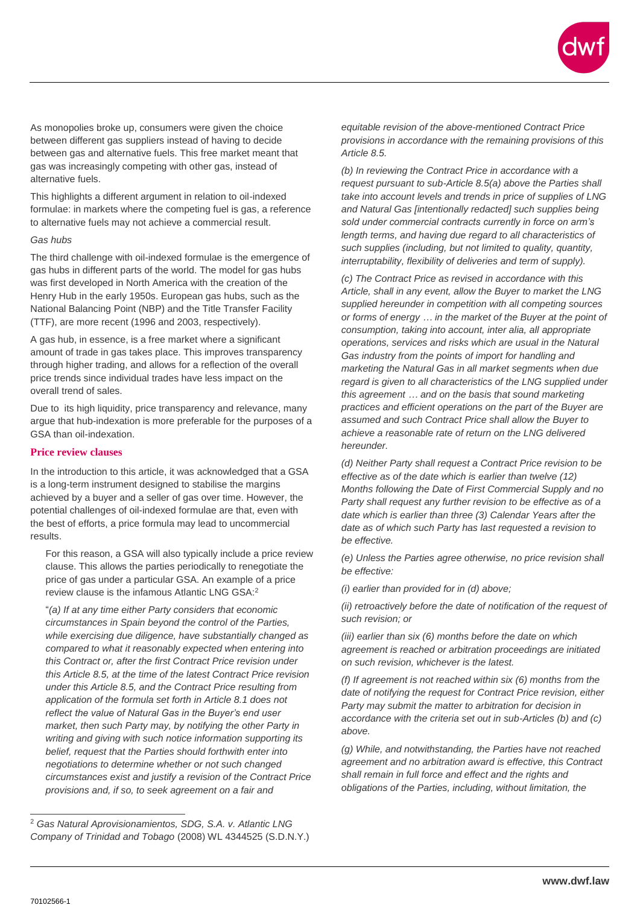As monopolies broke up, consumers were given the choice between different gas suppliers instead of having to decide between gas and alternative fuels. This free market meant that gas was increasingly competing with other gas, instead of alternative fuels.

This highlights a different argument in relation to oil-indexed formulae: in markets where the competing fuel is gas, a reference to alternative fuels may not achieve a commercial result.

#### *Gas hubs*

The third challenge with oil-indexed formulae is the emergence of gas hubs in different parts of the world. The model for gas hubs was first developed in North America with the creation of the Henry Hub in the early 1950s. European gas hubs, such as the National Balancing Point (NBP) and the Title Transfer Facility (TTF), are more recent (1996 and 2003, respectively).

A gas hub, in essence, is a free market where a significant amount of trade in gas takes place. This improves transparency through higher trading, and allows for a reflection of the overall price trends since individual trades have less impact on the overall trend of sales.

Due to its high liquidity, price transparency and relevance, many argue that hub-indexation is more preferable for the purposes of a GSA than oil-indexation.

## **Price review clauses**

In the introduction to this article, it was acknowledged that a GSA is a long-term instrument designed to stabilise the margins achieved by a buyer and a seller of gas over time. However, the potential challenges of oil-indexed formulae are that, even with the best of efforts, a price formula may lead to uncommercial results.

For this reason, a GSA will also typically include a price review clause. This allows the parties periodically to renegotiate the price of gas under a particular GSA. An example of a price review clause is the infamous Atlantic LNG GSA:<sup>2</sup>

"*(a) If at any time either Party considers that economic circumstances in Spain beyond the control of the Parties, while exercising due diligence, have substantially changed as compared to what it reasonably expected when entering into this Contract or, after the first Contract Price revision under this Article 8.5, at the time of the latest Contract Price revision under this Article 8.5, and the Contract Price resulting from application of the formula set forth in Article 8.1 does not reflect the value of Natural Gas in the Buyer's end user market, then such Party may, by notifying the other Party in writing and giving with such notice information supporting its belief, request that the Parties should forthwith enter into negotiations to determine whether or not such changed circumstances exist and justify a revision of the Contract Price provisions and, if so, to seek agreement on a fair and* 

*equitable revision of the above-mentioned Contract Price provisions in accordance with the remaining provisions of this Article 8.5.*

*(b) In reviewing the Contract Price in accordance with a request pursuant to sub-Article 8.5(a) above the Parties shall take into account levels and trends in price of supplies of LNG and Natural Gas [intentionally redacted] such supplies being sold under commercial contracts currently in force on arm's length terms, and having due regard to all characteristics of such supplies (including, but not limited to quality, quantity, interruptability, flexibility of deliveries and term of supply).*

*(c) The Contract Price as revised in accordance with this Article, shall in any event, allow the Buyer to market the LNG supplied hereunder in competition with all competing sources or forms of energy … in the market of the Buyer at the point of consumption, taking into account, inter alia, all appropriate operations, services and risks which are usual in the Natural Gas industry from the points of import for handling and marketing the Natural Gas in all market segments when due regard is given to all characteristics of the LNG supplied under this agreement … and on the basis that sound marketing practices and efficient operations on the part of the Buyer are assumed and such Contract Price shall allow the Buyer to achieve a reasonable rate of return on the LNG delivered hereunder.*

*(d) Neither Party shall request a Contract Price revision to be effective as of the date which is earlier than twelve (12) Months following the Date of First Commercial Supply and no Party shall request any further revision to be effective as of a date which is earlier than three (3) Calendar Years after the date as of which such Party has last requested a revision to be effective.*

*(e) Unless the Parties agree otherwise, no price revision shall be effective:*

*(i) earlier than provided for in (d) above;*

*(ii) retroactively before the date of notification of the request of such revision; or*

*(iii) earlier than six (6) months before the date on which agreement is reached or arbitration proceedings are initiated on such revision, whichever is the latest.*

*(f) If agreement is not reached within six (6) months from the date of notifying the request for Contract Price revision, either Party may submit the matter to arbitration for decision in accordance with the criteria set out in sub-Articles (b) and (c) above.*

*(g) While, and notwithstanding, the Parties have not reached agreement and no arbitration award is effective, this Contract shall remain in full force and effect and the rights and obligations of the Parties, including, without limitation, the* 

 $\overline{a}$ <sup>2</sup> *Gas Natural Aprovisionamientos, SDG, S.A. v. Atlantic LNG Company of Trinidad and Tobago* (2008) WL 4344525 (S.D.N.Y.)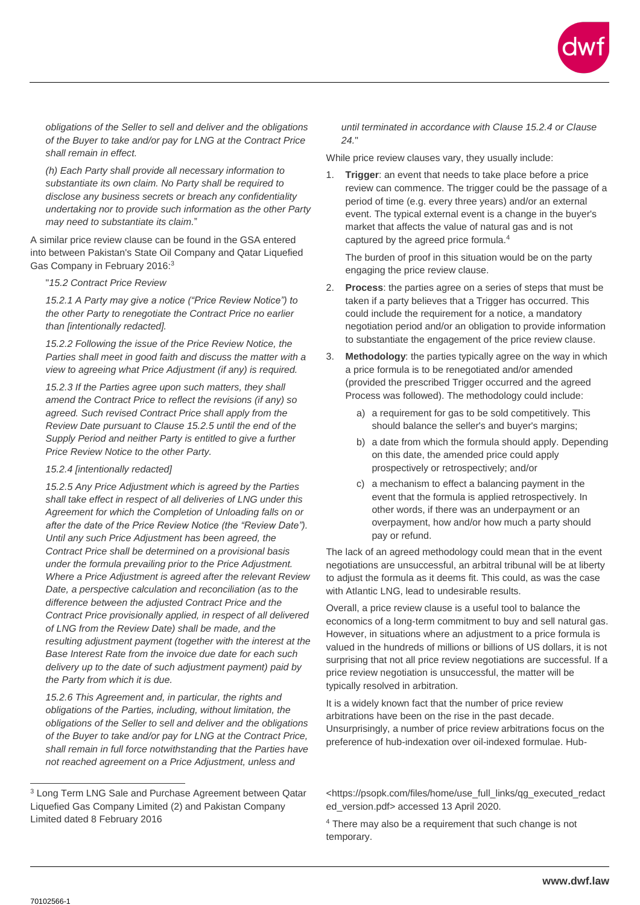

*obligations of the Seller to sell and deliver and the obligations of the Buyer to take and/or pay for LNG at the Contract Price shall remain in effect.*

*(h) Each Party shall provide all necessary information to substantiate its own claim. No Party shall be required to disclose any business secrets or breach any confidentiality undertaking nor to provide such information as the other Party may need to substantiate its claim.*"

A similar price review clause can be found in the GSA entered into between Pakistan's State Oil Company and Qatar Liquefied Gas Company in February 2016:<sup>3</sup>

"*15.2 Contract Price Review*

*15.2.1 A Party may give a notice ("Price Review Notice") to the other Party to renegotiate the Contract Price no earlier than [intentionally redacted].*

*15.2.2 Following the issue of the Price Review Notice, the Parties shall meet in good faith and discuss the matter with a view to agreeing what Price Adjustment (if any) is required.*

*15.2.3 If the Parties agree upon such matters, they shall amend the Contract Price to reflect the revisions (if any) so agreed. Such revised Contract Price shall apply from the Review Date pursuant to Clause 15.2.5 until the end of the Supply Period and neither Party is entitled to give a further Price Review Notice to the other Party.*

#### *15.2.4 [intentionally redacted]*

*15.2.5 Any Price Adjustment which is agreed by the Parties shall take effect in respect of all deliveries of LNG under this Agreement for which the Completion of Unloading falls on or after the date of the Price Review Notice (the "Review Date"). Until any such Price Adjustment has been agreed, the Contract Price shall be determined on a provisional basis under the formula prevailing prior to the Price Adjustment. Where a Price Adjustment is agreed after the relevant Review Date, a perspective calculation and reconciliation (as to the difference between the adjusted Contract Price and the Contract Price provisionally applied, in respect of all delivered of LNG from the Review Date) shall be made, and the resulting adjustment payment (together with the interest at the Base Interest Rate from the invoice due date for each such delivery up to the date of such adjustment payment) paid by the Party from which it is due.* 

*15.2.6 This Agreement and, in particular, the rights and obligations of the Parties, including, without limitation, the obligations of the Seller to sell and deliver and the obligations of the Buyer to take and/or pay for LNG at the Contract Price, shall remain in full force notwithstanding that the Parties have not reached agreement on a Price Adjustment, unless and* 

*until terminated in accordance with Clause 15.2.4 or Clause 24.*"

While price review clauses vary, they usually include:

1. **Trigger**: an event that needs to take place before a price review can commence. The trigger could be the passage of a period of time (e.g. every three years) and/or an external event. The typical external event is a change in the buyer's market that affects the value of natural gas and is not captured by the agreed price formula.<sup>4</sup>

The burden of proof in this situation would be on the party engaging the price review clause.

- 2. **Process**: the parties agree on a series of steps that must be taken if a party believes that a Trigger has occurred. This could include the requirement for a notice, a mandatory negotiation period and/or an obligation to provide information to substantiate the engagement of the price review clause.
- 3. **Methodology**: the parties typically agree on the way in which a price formula is to be renegotiated and/or amended (provided the prescribed Trigger occurred and the agreed Process was followed). The methodology could include:
	- a) a requirement for gas to be sold competitively. This should balance the seller's and buyer's margins;
	- b) a date from which the formula should apply. Depending on this date, the amended price could apply prospectively or retrospectively; and/or
	- c) a mechanism to effect a balancing payment in the event that the formula is applied retrospectively. In other words, if there was an underpayment or an overpayment, how and/or how much a party should pay or refund.

The lack of an agreed methodology could mean that in the event negotiations are unsuccessful, an arbitral tribunal will be at liberty to adjust the formula as it deems fit. This could, as was the case with Atlantic LNG, lead to undesirable results.

Overall, a price review clause is a useful tool to balance the economics of a long-term commitment to buy and sell natural gas. However, in situations where an adjustment to a price formula is valued in the hundreds of millions or billions of US dollars, it is not surprising that not all price review negotiations are successful. If a price review negotiation is unsuccessful, the matter will be typically resolved in arbitration.

It is a widely known fact that the number of price review arbitrations have been on the rise in the past decade. Unsurprisingly, a number of price review arbitrations focus on the preference of hub-indexation over oil-indexed formulae. Hub-

 $\overline{a}$ 

<sup>3</sup> Long Term LNG Sale and Purchase Agreement between Qatar Liquefied Gas Company Limited (2) and Pakistan Company Limited dated 8 February 2016

<sup>&</sup>lt;https://psopk.com/files/home/use\_full\_links/qg\_executed\_redact ed\_version.pdf> accessed 13 April 2020.

<sup>&</sup>lt;sup>4</sup> There may also be a requirement that such change is not temporary.